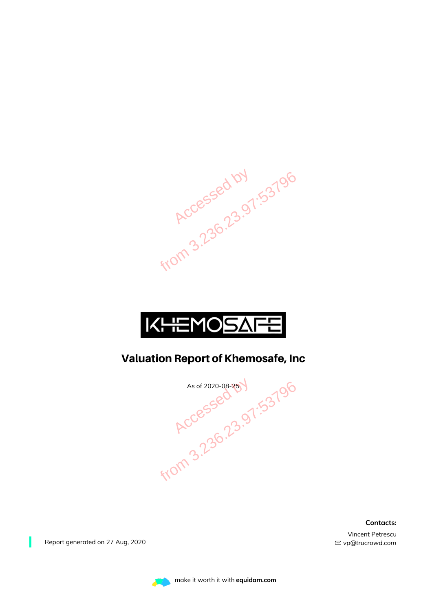



### Valuation Report of Khemosafe, Inc

As of 2020-08-25 V<br>
Accessed 23.97:53796<br>
From 3.236.23.97:53796

**Contacts:**

Vincent Petrescu *vp@trucrowd.com*

Report generated on 27 Aug, 2020

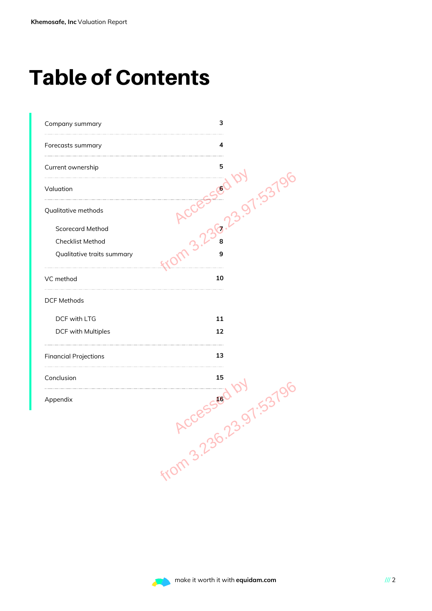# Table of Contents

| Company summary              | з                   |
|------------------------------|---------------------|
| Forecasts summary            | 4                   |
| Current ownership            | 5                   |
| Valuation                    | 1.537               |
| Qualitative methods          | $\mathcal{\hat{Y}}$ |
| <b>Scorecard Method</b>      |                     |
| Checklist Method             | 8                   |
| Qualitative traits summary   | 9                   |
| VC method                    | 10                  |
| <b>DCF Methods</b>           |                     |
| DCF with LTG                 | 11                  |
| DCF with Multiples           | 12                  |
| <b>Financial Projections</b> | 13                  |
| Conclusion                   | 15                  |
| Appendix                     | 16                  |
|                              | 3.97.5379           |
|                              | from 3.23r          |
|                              |                     |
|                              |                     |
|                              |                     |
|                              |                     |

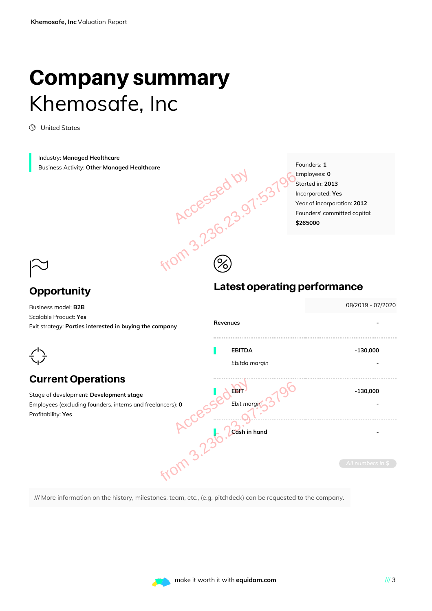### Company summary Khemosafe, Inc

United States

Industry: **Managed Healthcare** Business Activity: **Other Managed Healthcare**

Founders: **1** Employees: **0** Started in: **2013** Incorporated: **Yes** Year of incorporation: **2012** Founders' committed capital: **\$265000**

### $\approx$ **Opportunity**

 $\frac{1}{2}$ 

### Accessed by 1.53796 Latest operating performance 08/2019 - 07/2020 Business model: **B2B** Scalable Product: **Yes Revenues -** Exit strategy: **Parties interested in buying the company** ---------------------**EBITDA -130,000** *Ebitda margin -* Current Operations Magne CCCCSSED Ebit marging 3796<br>
ACCCSSED Ebit marging 3796<br>
ACCCS Ebit marging 3796<br>
ACCCS Ebit marging 3796<br>
ACCCS Ebit marging 3796<br>
Ebit marging 3796<br>
Ebit marging 3796 **EBIT 4 ON -130,000** Stage of development: **Development stage** *Ebit margin -* Employees (excluding founders, interns and freelancers): **0** Profitability: **Yes Cash in hand -**

 $\circledS$ 

/// More information on the history, milestones, team, etc., (e.g. pitchdeck) can be requested to the company.

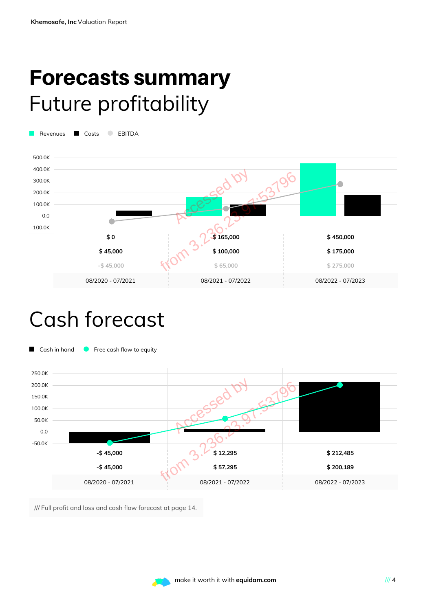### Forecasts summary Future profitability

Revenues Costs BITDA



### Cash forecast



/// Full profit and loss and cash flow forecast at page 14.

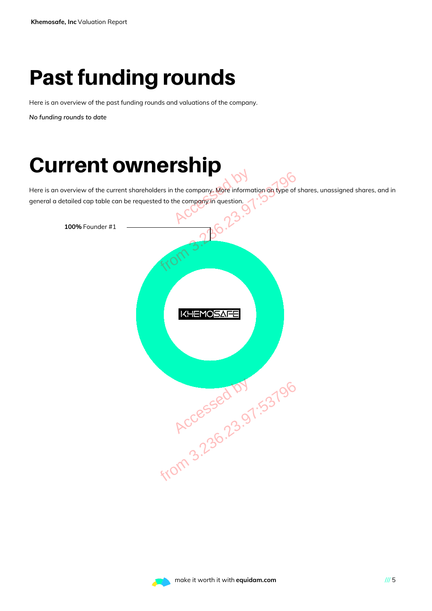# Past funding rounds

Here is an overview of the past funding rounds and valuations of the company.

*No funding rounds to date*

## Current ownership

Here is an overview of the current shareholders in the company. More information on type of shares, unassigned shares, and in general a detailed cap table can be requested to the company in question.



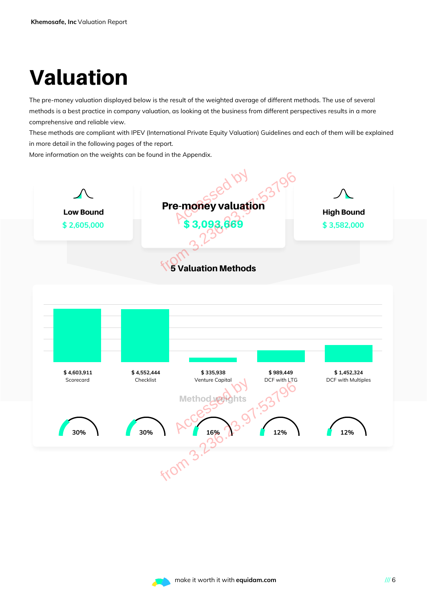# Valuation

The pre-money valuation displayed below is the result of the weighted average of different methods. The use of several methods is a best practice in company valuation, as looking at the business from different perspectives results in a more comprehensive and reliable view.

These methods are compliant with IPEV (International Private Equity Valuation) Guidelines and each of them will be explained in more detail in the following pages of the report.

More information on the weights can be found in the Appendix.



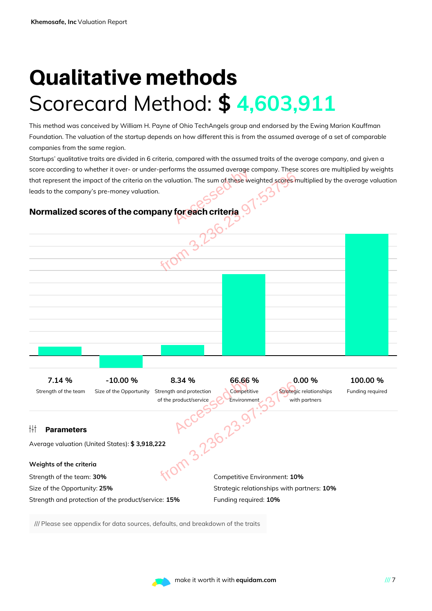# Qualitative methods Scorecard Method: **\$ 4,603,911**

This method was conceived by William H. Payne of Ohio TechAngels group and endorsed by the Ewing Marion Kauffman Foundation. The valuation of the startup depends on how different this is from the assumed average of a set of comparable companies from the same region.

Startups' qualitative traits are divided in 6 criteria, compared with the assumed traits of the average company, and given a score according to whether it over- or under-performs the assumed average company. These scores are multiplied by weights that represent the impact of the criteria on the valuation. The sum of these weighted scores multiplied by the average valuation leads to the company's pre-money valuation. by the same of these were controlled by the same of these were controlled by the same of the series of the series of the series of the series of the series of the series of the series of the series of the series of the ser

#### Normalized scores of the company for each criteria



/// Please see appendix for data sources, defaults, and breakdown of the traits

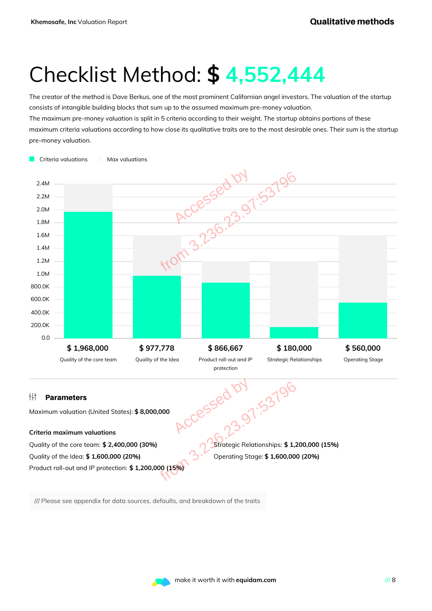### Checklist Method: **\$ 4,552,444**

The creator of the method is Dave Berkus, one of the most prominent Californian angel investors. The valuation of the startup consists of intangible building blocks that sum up to the assumed maximum pre-money valuation. The maximum pre-money valuation is split in 5 criteria according to their weight. The startup obtains portions of these

maximum criteria valuations according to how close its qualitative traits are to the most desirable ones. Their sum is the startup pre-money valuation.



/// Please see appendix for data sources, defaults, and breakdown of the traits

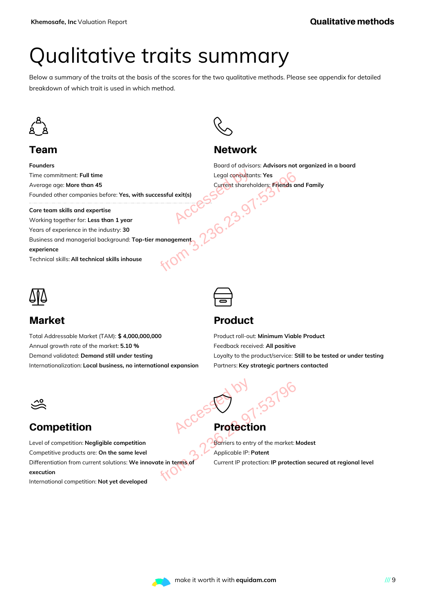## Qualitative traits summary

Below a summary of the traits at the basis of the scores for the two qualitative methods. Please see appendix for detailed breakdown of which trait is used in which method.



### Team

**Founders** Time commitment: **Full time** Average age: **More than 45** Founded other companies before: **Yes, with successful exit(s)**

**Core team skills and expertise**

Working together for: **Less than 1 year** Years of experience in the industry: **30** Business and managerial background: **Top-tier management**

**experience**

Technical skills:**All technical skills inhouse**



### Market

Total Addressable Market (TAM): **\$ 4,000,000,000** Annual growth rate of the market: **5.10 %** Demand validated: **Demand still under testing** Internationalization: **Local business, no international expansion**



### **Network**

Board of advisors: **Advisors not organized in a board** Legal consultants: **Yes** Current shareholders: **Friends and Family** Legal consultants: Yes<br>
Current shareholders: Friends are<br>
with successful exit(s)<br>
ACCES<br>
ACCES<br>
Corrent shareholders: Friends are<br>
Son tier management<br>
Son 23.97:53<br>
Cop-tier management<br>
Son 23.97:53<br>
Cop-tier management



### Product

Product roll-out: **Minimum Viable Product** Feedback received: **All positive** Loyalty to the product/service: **Still to be tested or under testing** Partners: **Key strategic partners contacted**



### Competition

Level of competition: **Negligible competition** Competitive products are: **On the same level** Differentiation from current solutions: **We innovate in terms of execution** Frotection<br>
The Protection<br>
The Same Street of the market:<br>
Ye innovate in terms of<br>
Ye Same Current IP protection: IP protect<br>
Oped

International competition: **Not yet developed**

# **Protection** Accessed by

 $\bigodot$ 

Barriers to entry of the market: **Modest** Applicable IP: **Patent** Current IP protection: **IP protection secured at regional level**

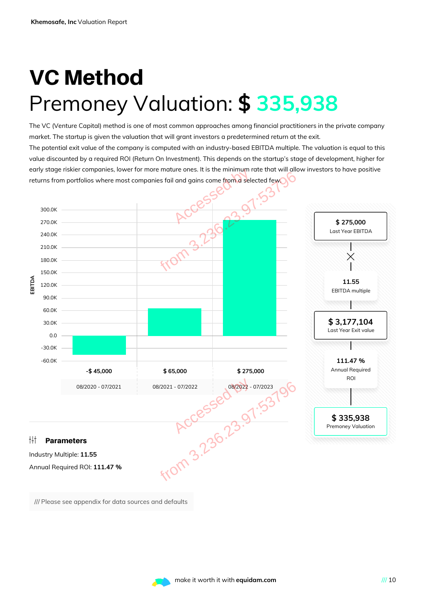# VC Method Premoney Valuation: **\$ 335,938**

The VC (Venture Capital) method is one of most common approaches among financial practitioners in the private company market. The startup is given the valuation that will grant investors a predetermined return at the exit. The potential exit value of the company is computed with an industry-based EBITDA multiple. The valuation is equal to this value discounted by a required ROI (Return On Investment). This depends on the startup's stage of development, higher for early stage riskier companies, lower for more mature ones. It is the minimum rate that will allow investors to have positive returns from portfolios where most companies fail and gains come from a selected few.



/// Please see appendix for data sources and defaults

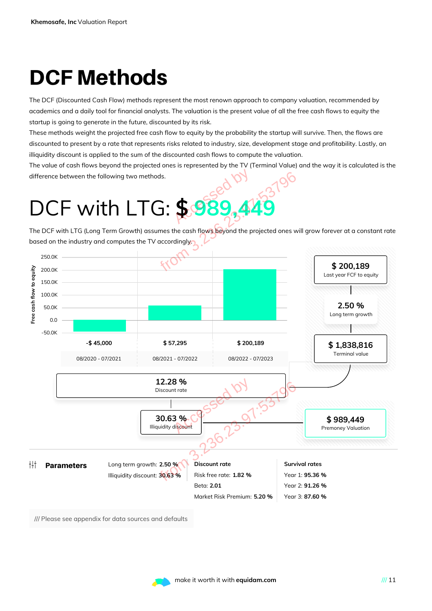# DCF Methods

The DCF (Discounted Cash Flow) methods represent the most renown approach to company valuation, recommended by academics and a daily tool for financial analysts. The valuation is the present value of all the free cash flows to equity the startup is going to generate in the future, discounted by its risk.

These methods weight the projected free cash flow to equity by the probability the startup will survive. Then, the flows are discounted to present by a rate that represents risks related to industry, size, development stage and profitability. Lastly, an illiquidity discount is applied to the sum of the discounted cash flows to compute the valuation.

The value of cash flows beyond the projected ones is represented by the TV (Terminal Value) and the way it is calculated is the difference between the following two methods.

The DCF with LTG (Long Term Growth) assumes the cash flows beyond the projected ones will grow forever at a constant rate based on the industry and computes the TV accordingly.



/// Please see appendix for data sources and defaults

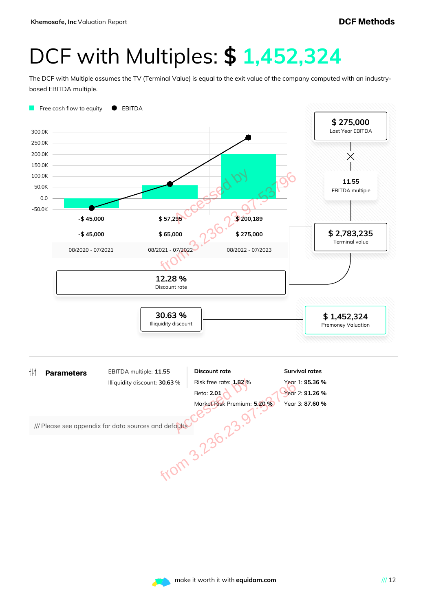# DCF with Multiples: **\$ 1,452,324**

The DCF with Multiple assumes the TV (Terminal Value) is equal to the exit value of the company computed with an industrybased EBITDA multiple.



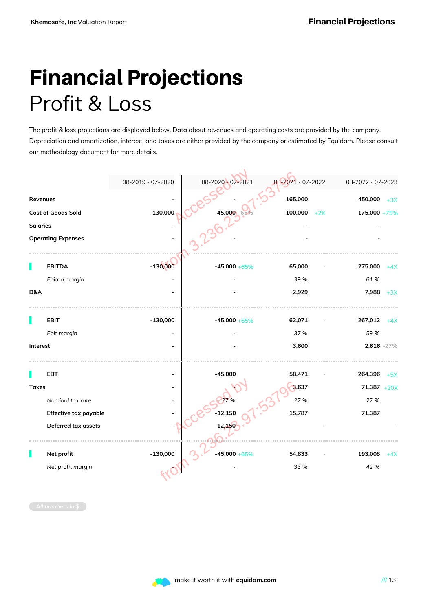# Financial Projections Profit & Loss

The profit & loss projections are displayed below. Data about revenues and operating costs are provided by the company. Depreciation and amortization, interest, and taxes are either provided by the company or estimated by Equidam. Please consult our methodology document for more details.

|                 |                           | 08-2019 - 07-2020 | 08-2020 - 07-2021 | 08-2021 - 07-2022 | 08-2022 - 07-2023     |
|-----------------|---------------------------|-------------------|-------------------|-------------------|-----------------------|
| Revenues        |                           |                   |                   | 165,000           | 450,000<br>$+3X$      |
|                 | Cost of Goods Sold        | 130,000           | 45,000            | 100,000           | 175,000 +75%<br>$+2X$ |
| <b>Salaries</b> |                           |                   |                   |                   |                       |
|                 | <b>Operating Expenses</b> |                   |                   |                   |                       |
|                 |                           |                   |                   |                   |                       |
|                 | <b>EBITDA</b>             | $-130,000$        | $-45,000 + 65%$   | 65,000            | 275,000<br>$+4X$      |
|                 | Ebitda margin             |                   |                   | 39 %              | 61%                   |
| D&A             |                           |                   |                   | 2,929             | 7,988<br>$+3X$        |
|                 |                           |                   |                   |                   |                       |
|                 | <b>EBIT</b>               | $-130,000$        | $-45,000 + 65%$   | 62,071            | 267,012<br>$+4X$      |
|                 | Ebit margin               |                   |                   | 37 %              | 59 %                  |
| Interest        |                           |                   |                   | 3,600             | 2,616 -27%            |
|                 |                           |                   |                   |                   |                       |
|                 | EBT                       |                   | $-45,000$         | 58,471            | 264,396<br>$+5X$      |
| <b>Taxes</b>    |                           |                   |                   | 3,637             | $71,387 +20X$         |
|                 | Nominal tax rate          |                   |                   | 27 %              | 27 %                  |
|                 | Effective tax payable     |                   | $-12,150$         | 15,787            | 71,387                |
|                 | Deferred tax assets       |                   | 12,150            |                   |                       |
|                 |                           |                   |                   |                   |                       |
|                 | Net profit                | $-130,000$        | $-45,000 + 65%$   | 54,833            | 193,008<br>$+4X$      |
|                 | Net profit margin         |                   |                   | 33 %              | 42 %                  |
|                 |                           |                   |                   |                   |                       |
|                 |                           |                   |                   |                   |                       |
|                 |                           |                   |                   |                   |                       |

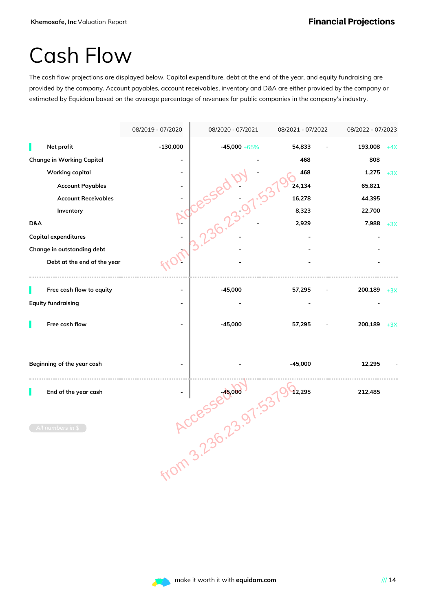### Cash Flow

The cash flow projections are displayed below. Capital expenditure, debt at the end of the year, and equity fundraising are provided by the company. Account payables, account receivables, inventory and D&A are either provided by the company or estimated by Equidam based on the average percentage of revenues for public companies in the company's industry.

|     |                                  | 08/2019 - 07/2020 | 08/2020 - 07/2021 | 08/2021 - 07/2022 | 08/2022 - 07/2023 |       |
|-----|----------------------------------|-------------------|-------------------|-------------------|-------------------|-------|
|     | Net profit                       | $-130,000$        | $-45,000 + 65\%$  | 54,833            | 193,008           | $+4X$ |
|     | <b>Change in Working Capital</b> |                   |                   | 468               | 808               |       |
|     | <b>Working capital</b>           |                   |                   | 468               | 1,275             | $+3X$ |
|     | <b>Account Payables</b>          |                   |                   | 24,134            | 65,821            |       |
|     | <b>Account Receivables</b>       |                   | Good C            | 16,278            | 44,395            |       |
|     | Inventory                        |                   |                   | 8,323             | 22,700            |       |
| D&A |                                  |                   |                   | 2,929             | 7,988             | $+3X$ |
|     | <b>Capital expenditures</b>      |                   |                   |                   |                   |       |
|     | Change in outstanding debt       |                   |                   |                   |                   |       |
|     | Debt at the end of the year      |                   |                   |                   |                   |       |
|     | Free cash flow to equity         |                   | $-45,000$         | 57,295            | 200,189           | $+3X$ |
|     | <b>Equity fundraising</b>        |                   |                   |                   |                   |       |
|     |                                  |                   |                   |                   |                   |       |
|     | Free cash flow                   |                   | $-45,000$         | 57,295            | 200,189           | $+3X$ |
|     |                                  |                   |                   |                   |                   |       |
|     |                                  |                   |                   |                   |                   |       |
|     | Beginning of the year cash       |                   |                   | $-45,000$         | 12,295            |       |
|     | End of the year cash             |                   | ACCESSELV-001.5   | 12,295            | 212,485           |       |
|     |                                  |                   |                   |                   |                   |       |
|     |                                  |                   |                   |                   |                   |       |
|     | All numbers in \$                |                   |                   |                   |                   |       |
|     |                                  | from 3.2.         |                   |                   |                   |       |
|     |                                  |                   |                   |                   |                   |       |
|     |                                  |                   |                   |                   |                   |       |
|     |                                  |                   |                   |                   |                   |       |
|     |                                  |                   |                   |                   |                   |       |

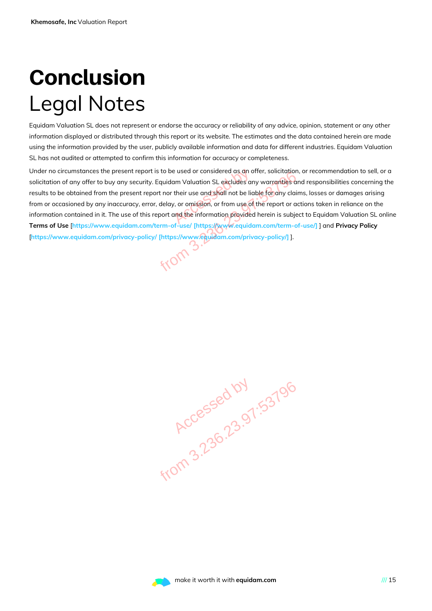# Conclusion Legal Notes

Equidam Valuation SL does not represent or endorse the accuracy or reliability of any advice, opinion, statement or any other information displayed or distributed through this report or its website. The estimates and the data contained herein are made using the information provided by the user, publicly available information and data for different industries. Equidam Valuation SL has not audited or attempted to confirm this information for accuracy or completeness.

Under no circumstances the present report is to be used or considered as an offer, solicitation, or recommendation to sell, or a solicitation of any offer to buy any security. Equidam Valuation SL excludes any warranties and responsibilities concerning the results to be obtained from the present report nor their use and shall not be liable for any claims, losses or damages arising from or occasioned by any inaccuracy, error, delay, or omission, or from use of the report or actions taken in reliance on the information contained in it. The use of this report and the information provided herein is subject to Equidam Valuation SL online **Terms of Use** [**https://www.equidam.com/term-of-use/ [https://www.equidam.com/term-of-use/]** ] and **Privacy Policy** [**https://www.equidam.com/privacy-policy/ [https://www.equidam.com/privacy-policy/]** ]. e used or considered as an a<br>am Valuation SL excludes are<br>their use and shall not be lick<br>, or omission, or from use of<br>and the information provided Feport is to be used or considered as an offer, solicitation,<br>ecurity. Equidam Valuation SL excludes any warranties arent report nor their use and shall not be liable for any clair<br>extractions, error, delay, or omission, o

**Accessed by 1.53796**<br>Accessed by 1.53796

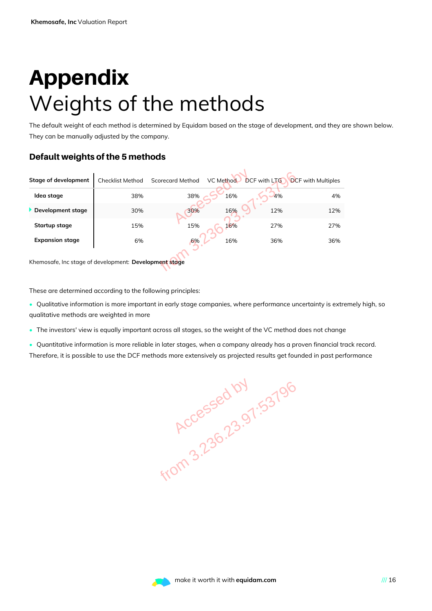# Appendix Weights of the methods

The default weight of each method is determined by Equidam based on the stage of development, and they are shown below. They can be manually adjusted by the company.

#### Default weights of the 5 methods

| <b>Stage of development</b>                                 | <b>Checklist Method</b> | <b>Scorecard Method</b> | <b>VC Method</b> | <b>DCF with LTG</b> | <b>DCF</b> with Multiples |
|-------------------------------------------------------------|-------------------------|-------------------------|------------------|---------------------|---------------------------|
| Idea stage                                                  | 38%                     | 38%                     | 16%              | 4%                  | 4%                        |
| Development stage                                           | 30%                     | 30%                     | 16%              | 12%                 | 12%                       |
| Startup stage                                               | 15%                     | 15%                     | 16%              | 27%                 | 27%                       |
| <b>Expansion stage</b>                                      | 6%                      | 6%                      | 16%              | 36%                 | 36%                       |
| Khemosafe, Inc stage of development: Development stage      |                         |                         |                  |                     |                           |
| These are determined according to the following principles: |                         |                         |                  |                     |                           |

These are determined according to the following principles:

- Qualitative information is more important in early stage companies, where performance uncertainty is extremely high, so qualitative methods are weighted in more
- The investors' view is equally important across all stages, so the weight of the VC method does not change
- Quantitative information is more reliable in later stages, when a company already has a proven financial track record. Therefore, it is possible to use the DCF methods more extensively as projected results get founded in past performance

**Accessed by 1.53796**<br>Accessed by 1.53796

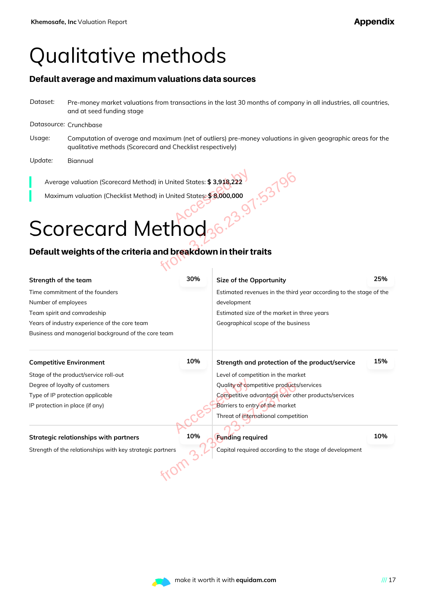### Qualitative methods

#### Default average and maximum valuations data sources

*Dataset:* Pre-money market valuations from transactions in the last 30 months of company in all industries, all countries, and at seed funding stage

#### *Datasource:* Crunchbase

- *Usage:* Computation of average and maximum (net of outliers) pre-money valuations in given geographic areas for the qualitative methods (Scorecard and Checklist respectively)
- *Update:* Biannual

# Scorecard Method

### Default weights of the criteria and breakdown in their traits

| Average valuation (Scorecard Method) in United States: \$3,918,222                                    |             |                                                        |     |  |
|-------------------------------------------------------------------------------------------------------|-------------|--------------------------------------------------------|-----|--|
| Maximum valuation (Checklist Method) in United States: \$8,000,000                                    |             |                                                        |     |  |
|                                                                                                       |             |                                                        |     |  |
|                                                                                                       |             |                                                        |     |  |
| Scorecard Method                                                                                      |             |                                                        |     |  |
| Default weights of the criteria and breakdown in their traits                                         |             |                                                        |     |  |
|                                                                                                       |             |                                                        |     |  |
| Strength of the team                                                                                  | 30%         | Size of the Opportunity                                | 25% |  |
| Time commitment of the founders<br>Estimated revenues in the third year according to the stage of the |             |                                                        |     |  |
| Number of employees                                                                                   | development |                                                        |     |  |
| Team spirit and comradeship<br>Estimated size of the market in three years                            |             |                                                        |     |  |
| Years of industry experience of the core team<br>Geographical scope of the business                   |             |                                                        |     |  |
| Business and managerial background of the core team                                                   |             |                                                        |     |  |
| <b>Competitive Environment</b>                                                                        | 10%         | Strength and protection of the product/service         | 15% |  |
| Stage of the product/service roll-out                                                                 |             | Level of competition in the market                     |     |  |
| Degree of loyalty of customers                                                                        |             | Quality of competitive products/services               |     |  |
| Type of IP protection applicable                                                                      |             | Competitive advantage over other products/services     |     |  |
| IP protection in place (if any)                                                                       |             | Barriers to entry of the market                        |     |  |
|                                                                                                       |             | Threat of international competition                    |     |  |
| <b>Strategic relationships with partners</b>                                                          | 10%         | <b>Funding required</b>                                | 10% |  |
| Strength of the relationships with key strategic partners                                             |             | Capital required according to the stage of development |     |  |
|                                                                                                       |             |                                                        |     |  |
|                                                                                                       |             |                                                        |     |  |
|                                                                                                       |             |                                                        |     |  |

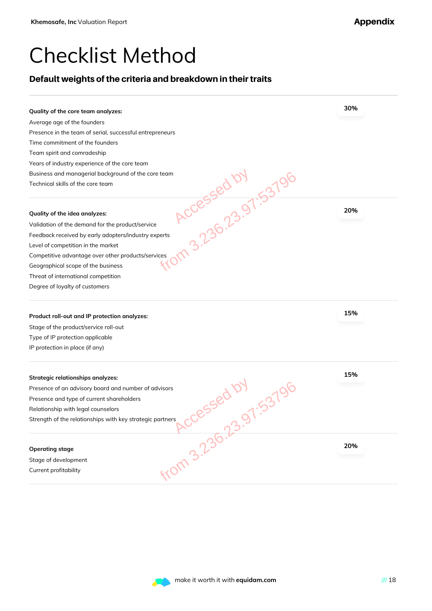### Checklist Method

#### Default weights of the criteria and breakdown in their traits

| Quality of the core team analyzes:                                                               | 30% |
|--------------------------------------------------------------------------------------------------|-----|
| Average age of the founders                                                                      |     |
| Presence in the team of serial, successful entrepreneurs                                         |     |
| Time commitment of the founders                                                                  |     |
| Team spirit and comradeship                                                                      |     |
| Years of industry experience of the core team                                                    |     |
| Business and managerial background of the core team                                              |     |
| Accessed by 5379<br>Technical skills of the core team                                            |     |
| Quality of the idea analyzes:                                                                    | 20% |
| Validation of the demand for the product/service                                                 |     |
| Feedback received by early adopters/industry experts                                             |     |
| Level of competition in the market                                                               |     |
| Competitive advantage over other products/services                                               |     |
| Geographical scope of the business                                                               |     |
| Threat of international competition                                                              |     |
| Degree of loyalty of customers                                                                   |     |
| Product roll-out and IP protection analyzes:                                                     | 15% |
| Stage of the product/service roll-out                                                            |     |
| Type of IP protection applicable                                                                 |     |
| IP protection in place (if any)                                                                  |     |
| Strategic relationships analyzes:                                                                | 15% |
| Presence of an advisory board and number of advisors                                             |     |
| Presence and type of current shareholders                                                        |     |
| Relationship with legal counselors                                                               |     |
| <b>1085580101</b><br>Strength of the relationships with key strategic partners<br>From 3.236.23. |     |
|                                                                                                  |     |
| <b>Operating stage</b>                                                                           | 20% |
| Stage of development                                                                             |     |
| Current profitability                                                                            |     |
|                                                                                                  |     |
|                                                                                                  |     |

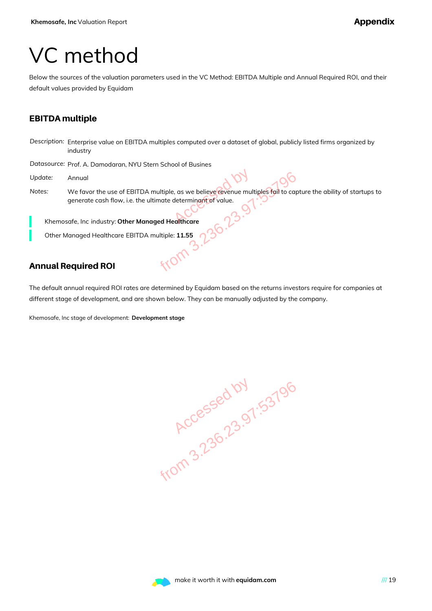### VC method

Below the sources of the valuation parameters used in the VC Method: EBITDA Multiple and Annual Required ROI, and their default values provided by Equidam

#### EBITDA multiple

*Description:* Enterprise value on EBITDA multiples computed over a dataset of global, publicly listed firms organized by industry

*Datasource:* Prof. A. Damodaran, NYU Stern School of Busines

- *Update:* Annual
- *Notes:* We favor the use of EBITDA multiple, as we believe revenue multiples fail to capture the ability of startups to generate cash flow, i.e. the ultimate determinant of value. e, as we believe revenue multipleterminant of value.

Khemosafe, Inc industry: **Other Managed Healthcare**

Other Managed Healthcare EBITDA multiple: **11.55** from 3.

### Annual Required ROI

The default annual required ROI rates are determined by Equidam based on the returns investors require for companies at different stage of development, and are shown below. They can be manually adjusted by the company.

Khemosafe, Inc stage of development: **Development stage**

**Accessed by 1.53796**<br>Accessed by 1.53796

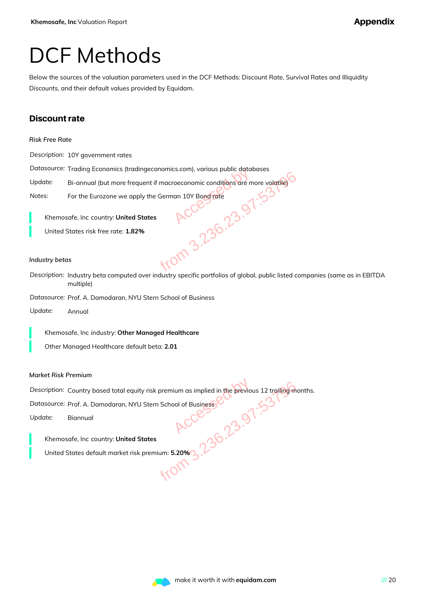### DCF Methods

Below the sources of the valuation parameters used in the DCF Methods: Discount Rate, Survival Rates and Illiquidity Discounts, and their default values provided by Equidam.

#### Discount rate

*Description:* 10Y government rates

*Datasource:* Trading Economics (tradingeconomics.com), various public databases

Update: Bi-annual (but more frequent if macroeconomic conditions are more volatile)

*Notes:* For the Eurozone we apply the German 10Y Bond rate

Khemosafe, Inc country: **United States**

United States risk free rate: **1.82%**

#### *Industry betas*

*Description:* Industry beta computed over industry specific portfolios of global, public listed companies (same as in EBITDA multiple) Equent if macroeconomic conditions are more volatile)<br>
Deply the German 10Y Bond rate<br>
1 States<br>
2%<br>
2%<br>
2%<br>
2 Of COCP<br>
250.23<br>
2013<br>
2013<br>
2013<br>
2013<br>
2013<br>
2013

*Datasource:* Prof. A. Damodaran, NYU Stern School of Business

*Update:* Annual

Khemosafe, Inc industry: **Other Managed Healthcare**

Other Managed Healthcare default beta: **2.01**

#### *Market Risk Premium*

*Description:* Country based total equity risk premium as implied in the previous 12 trailing months. NET School of Business<br>
Hotel States<br>
Sk premium: 5.20% 3.238<br>
From 3.2388.2388<br>
From 3.2388.2388.2398<br>
From 2.2388.23989.2388

Datasource: Prof. A. Damodaran, NYU Stern School of Business

*Update:* Biannual

Khemosafe, Inc country: **United States**

United States default market risk premium: **5.20%**

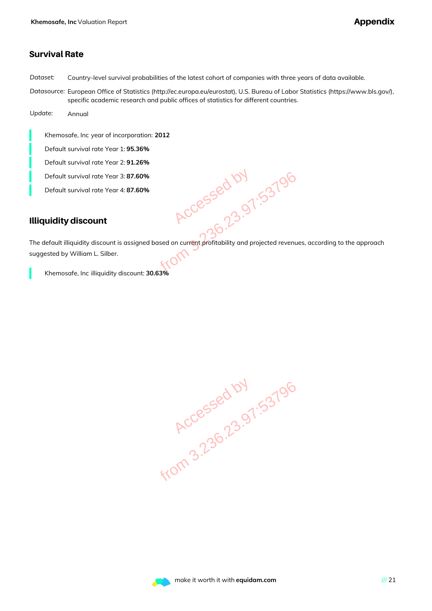#### Survival Rate

*Dataset:* Country-level survival probabilities of the latest cohort of companies with three years of data available.

*Datasource:* European Office of Statistics (http://ec.europa.eu/eurostat), U.S. Bureau of Labor Statistics (https://www.bls.gov/), specific academic research and public offices of statistics for different countries.

*Update:* Annual

Khemosafe, Inc year of incorporation: **2012**

Default survival rate Year 1: **95.36%**

Default survival rate Year 2: **91.26%**

Default survival rate Year 3: **87.60%**

Default survival rate Year 4: **87.60%**

#### Illiquidity discount

The default illiquidity discount is assigned based on current profitability and projected revenues, according to the approach suggested by William L. Silber. .60%<br>
.60%<br>
.60%<br>
ACCESSED 07.53796<br>
Here of the profitability and projected revenue<br>
unt: 30.63%

Khemosafe, Inc illiquidity discount: **30.63%**

**Accessed by 1.53796**<br>Accessed by 1.53796

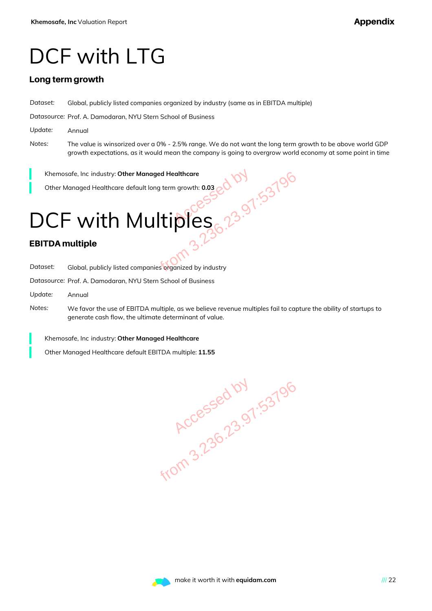### DCF with LTG

#### Long term growth

*Dataset:* Global, publicly listed companies organized by industry (same as in EBITDA multiple)

*Datasource:* Prof. A. Damodaran, NYU Stern School of Business

- *Update:* Annual
- *Notes:* The value is winsorized over a 0% 2.5% range. We do not want the long term growth to be above world GDP growth expectations, as it would mean the company is going to overgrow world economy at some point in time

Khemosafe, Inc industry: **Other Managed Healthcare**

Other Managed Healthcare default long term growth: **0.03**

# DCF with Multiples Managed Healthcare<br>
Fault long term growth: 0.03<br>
Aultiples 3.23.97:53796<br>
Multiples 3.236.23.97:537<br>
Multiples 3.236.23.97:537<br>
Multiples 3.236.23.97:537<br>
Multiples 3.236.23.97:537<br>
Multiples 3.236.23.97:537<br>
Multiples 3.

#### EBITDA multiple

*Dataset:* Global, publicly listed companies organized by industry

*Datasource:* Prof. A. Damodaran, NYU Stern School of Business

- *Update:* Annual
- *Notes:* We favor the use of EBITDA multiple, as we believe revenue multiples fail to capture the ability of startups to generate cash flow, the ultimate determinant of value.

Khemosafe, Inc industry: **Other Managed Healthcare**

Other Managed Healthcare default EBITDA multiple: **11.55**

**Accessed by 1.53796**<br>Accessed by 1.53796